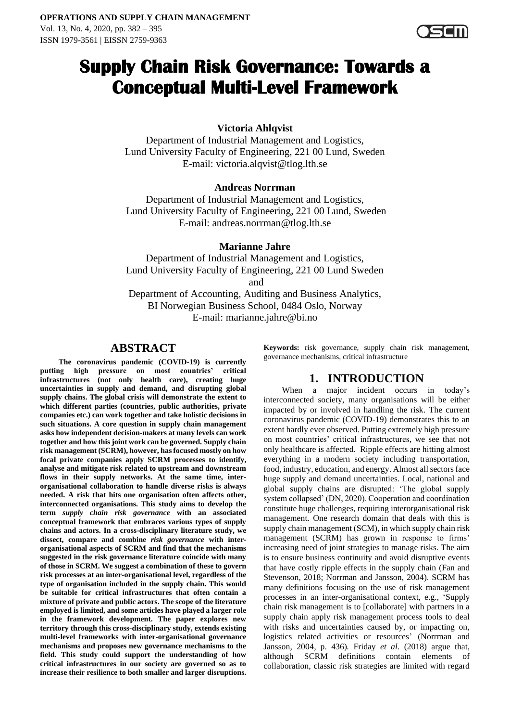

# **Supply Chain Risk Governance: Towards a Conceptual Multi-Level Framework**

## **Victoria Ahlqvist**

Department of Industrial Management and Logistics, Lund University Faculty of Engineering, 221 00 Lund, Sweden E-mail: victoria.alqvist@tlog.lth.se

## **Andreas Norrman**

Department of Industrial Management and Logistics, Lund University Faculty of Engineering, 221 00 Lund, Sweden E-mail: andreas.norrman@tlog.lth.se

## **Marianne Jahre**

Department of Industrial Management and Logistics, Lund University Faculty of Engineering, 221 00 Lund Sweden and

Department of Accounting, Auditing and Business Analytics, BI Norwegian Business School, 0484 Oslo, Norway E-mail: marianne.jahre@bi.no

## **ABSTRACT**

**The coronavirus pandemic (COVID-19) is currently putting high pressure on most countries' critical infrastructures (not only health care), creating huge uncertainties in supply and demand, and disrupting global supply chains. The global crisis will demonstrate the extent to which different parties (countries, public authorities, private companies etc.) can work together and take holistic decisions in such situations. A core question in supply chain management asks how independent decision-makers at many levels can work together and how this joint work can be governed. Supply chain risk management (SCRM), however, has focused mostly on how focal private companies apply SCRM processes to identify, analyse and mitigate risk related to upstream and downstream flows in their supply networks. At the same time, interorganisational collaboration to handle diverse risks is always needed. A risk that hits one organisation often affects other, interconnected organisations. This study aims to develop the term** *supply chain risk governance* **with an associated conceptual framework that embraces various types of supply chains and actors. In a cross-disciplinary literature study, we dissect, compare and combine** *risk governance* **with interorganisational aspects of SCRM and find that the mechanisms suggested in the risk governance literature coincide with many of those in SCRM. We suggest a combination of these to govern risk processes at an inter-organisational level, regardless of the type of organisation included in the supply chain. This would be suitable for critical infrastructures that often contain a mixture of private and public actors. The scope of the literature employed is limited, and some articles have played a larger role in the framework development. The paper explores new territory through this cross-disciplinary study, extends existing multi-level frameworks with inter-organisational governance mechanisms and proposes new governance mechanisms to the field. This study could support the understanding of how critical infrastructures in our society are governed so as to increase their resilience to both smaller and larger disruptions.** 

**Keywords:** risk governance, supply chain risk management, governance mechanisms, critical infrastructure

## **1. INTRODUCTION**

When a major incident occurs in today's interconnected society, many organisations will be either impacted by or involved in handling the risk. The current coronavirus pandemic (COVID-19) demonstrates this to an extent hardly ever observed. Putting extremely high pressure on most countries' critical infrastructures, we see that not only healthcare is affected. Ripple effects are hitting almost everything in a modern society including transportation, food, industry, education, and energy. Almost all sectors face huge supply and demand uncertainties. Local, national and global supply chains are disrupted: 'The global supply system collapsed' (DN, 2020). Cooperation and coordination constitute huge challenges, requiring interorganisational risk management. One research domain that deals with this is supply chain management (SCM), in which supply chain risk management (SCRM) has grown in response to firms' increasing need of joint strategies to manage risks. The aim is to ensure business continuity and avoid disruptive events that have costly ripple effects in the supply chain (Fan and Stevenson, 2018; Norrman and Jansson, 2004). SCRM has many definitions focusing on the use of risk management processes in an inter-organisational context, e.g., 'Supply chain risk management is to [collaborate] with partners in a supply chain apply risk management process tools to deal with risks and uncertainties caused by, or impacting on, logistics related activities or resources' (Norrman and Jansson, 2004, p. 436)*.* Friday *et al.* (2018) argue that, although SCRM definitions contain elements of collaboration, classic risk strategies are limited with regard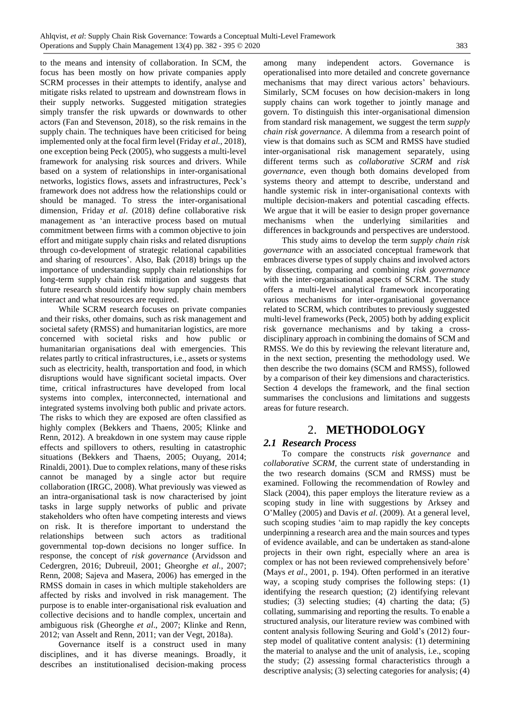to the means and intensity of collaboration. In SCM, the focus has been mostly on how private companies apply SCRM processes in their attempts to identify, analyse and mitigate risks related to upstream and downstream flows in their supply networks. Suggested mitigation strategies simply transfer the risk upwards or downwards to other actors (Fan and Stevenson, 2018), so the risk remains in the supply chain. The techniques have been criticised for being implemented only at the focal firm level (Friday *et al.*, 2018), one exception being Peck (2005), who suggests a multi-level framework for analysing risk sources and drivers. While based on a system of relationships in inter-organisational networks, logistics flows, assets and infrastructures, Peck's framework does not address how the relationships could or should be managed. To stress the inter-organisational dimension, Friday *et al*. (2018) define collaborative risk management as 'an interactive process based on mutual commitment between firms with a common objective to join effort and mitigate supply chain risks and related disruptions through co-development of strategic relational capabilities and sharing of resources'. Also, Bak (2018) brings up the importance of understanding supply chain relationships for long-term supply chain risk mitigation and suggests that future research should identify how supply chain members interact and what resources are required.

While SCRM research focuses on private companies and their risks, other domains, such as risk management and societal safety (RMSS) and humanitarian logistics, are more concerned with societal risks and how public or humanitarian organisations deal with emergencies. This relates partly to critical infrastructures, i.e., assets or systems such as electricity, health, transportation and food, in which disruptions would have significant societal impacts. Over time, critical infrastructures have developed from local systems into complex, interconnected, international and integrated systems involving both public and private actors. The risks to which they are exposed are often classified as highly complex (Bekkers and Thaens, 2005; Klinke and Renn, 2012). A breakdown in one system may cause ripple effects and spillovers to others, resulting in catastrophic situations (Bekkers and Thaens, 2005; Ouyang, 2014; Rinaldi, 2001). Due to complex relations, many of these risks cannot be managed by a single actor but require collaboration (IRGC, 2008). What previously was viewed as an intra-organisational task is now characterised by joint tasks in large supply networks of public and private stakeholders who often have competing interests and views on risk. It is therefore important to understand the relationships between such actors as traditional governmental top-down decisions no longer suffice. In response, the concept of *risk governance* (Arvidsson and Cedergren, 2016; Dubreuil, 2001; Gheorghe *et al.*, 2007; Renn, 2008; Sajeva and Masera, 2006) has emerged in the RMSS domain in cases in which multiple stakeholders are affected by risks and involved in risk management. The purpose is to enable inter-organisational risk evaluation and collective decisions and to handle complex, uncertain and ambiguous risk (Gheorghe *et al*., 2007; Klinke and Renn, 2012; van Asselt and Renn, 2011; van der Vegt, 2018a).

Governance itself is a construct used in many disciplines, and it has diverse meanings. Broadly, it describes an institutionalised decision-making process among many independent actors. Governance is operationalised into more detailed and concrete governance mechanisms that may direct various actors' behaviours. Similarly, SCM focuses on how decision-makers in long supply chains can work together to jointly manage and govern. To distinguish this inter-organisational dimension from standard risk management, we suggest the term *supply chain risk governance*. A dilemma from a research point of view is that domains such as SCM and RMSS have studied inter-organisational risk management separately, using different terms such as *collaborative SCRM* and *risk governance*, even though both domains developed from systems theory and attempt to describe, understand and handle systemic risk in inter-organisational contexts with multiple decision-makers and potential cascading effects. We argue that it will be easier to design proper governance mechanisms when the underlying similarities and differences in backgrounds and perspectives are understood.

This study aims to develop the term *supply chain risk governance* with an associated conceptual framework that embraces diverse types of supply chains and involved actors by dissecting, comparing and combining *risk governance* with the inter-organisational aspects of SCRM. The study offers a multi-level analytical framework incorporating various mechanisms for inter-organisational governance related to SCRM, which contributes to previously suggested multi-level frameworks (Peck, 2005) both by adding explicit risk governance mechanisms and by taking a crossdisciplinary approach in combining the domains of SCM and RMSS. We do this by reviewing the relevant literature and, in the next section, presenting the methodology used. We then describe the two domains (SCM and RMSS), followed by a comparison of their key dimensions and characteristics. Section 4 develops the framework, and the final section summarises the conclusions and limitations and suggests areas for future research.

## 2. **METHODOLOGY**

#### *2.1 Research Process*

To compare the constructs *risk governance* and *collaborative SCRM,* the current state of understanding in the two research domains (SCM and RMSS) must be examined. Following the recommendation of Rowley and Slack (2004), this paper employs the literature review as a scoping study in line with suggestions by Arksey and O'Malley (2005) and Davis *et al*. (2009). At a general level, such scoping studies 'aim to map rapidly the key concepts underpinning a research area and the main sources and types of evidence available, and can be undertaken as stand-alone projects in their own right, especially where an area is complex or has not been reviewed comprehensively before' (Mays *et al*., 2001, p. 194). Often performed in an iterative way, a scoping study comprises the following steps: (1) identifying the research question; (2) identifying relevant studies; (3) selecting studies; (4) charting the data; (5) collating, summarising and reporting the results. To enable a structured analysis, our literature review was combined with content analysis following Seuring and Gold's (2012) fourstep model of qualitative content analysis: (1) determining the material to analyse and the unit of analysis, i.e., scoping the study; (2) assessing formal characteristics through a descriptive analysis; (3) selecting categories for analysis; (4)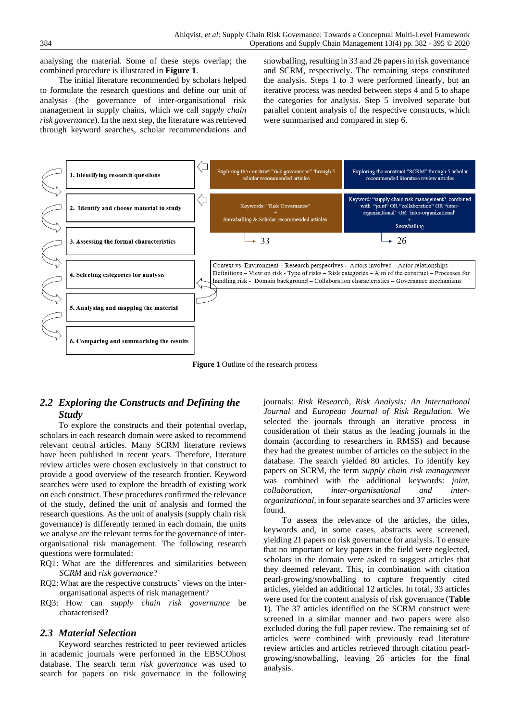analysing the material. Some of these steps overlap; the combined procedure is illustrated in **Figure 1**.

The initial literature recommended by scholars helped to formulate the research questions and define our unit of analysis (the governance of inter-organisational risk management in supply chains, which we call *supply chain risk governance*). In the next step, the literature was retrieved through keyword searches, scholar recommendations and snowballing, resulting in 33 and 26 papers in risk governance and SCRM, respectively. The remaining steps constituted the analysis. Steps 1 to 3 were performed linearly, but an iterative process was needed between steps 4 and 5 to shape the categories for analysis. Step 5 involved separate but parallel content analysis of the respective constructs, which were summarised and compared in step 6.



**Figure 1** Outline of the research process

## *2.2 Exploring the Constructs and Defining the Study*

To explore the constructs and their potential overlap, scholars in each research domain were asked to recommend relevant central articles. Many SCRM literature reviews have been published in recent years. Therefore, literature review articles were chosen exclusively in that construct to provide a good overview of the research frontier. Keyword searches were used to explore the breadth of existing work on each construct. These procedures confirmed the relevance of the study, defined the unit of analysis and formed the research questions. As the unit of analysis (supply chain risk governance) is differently termed in each domain, the units we analyse are the relevant terms for the governance of interorganisational risk management. The following research questions were formulated:

- RQ1: What are the differences and similarities between *SCRM* and *risk governance*?
- RQ2: What are the respective constructs' views on the interorganisational aspects of risk management?
- RQ3: How can *supply chain risk governance* be characterised?

#### *2.3 Material Selection*

Keyword searches restricted to peer reviewed articles in academic journals were performed in the EBSCOhost database. The search term *risk governance* was used to search for papers on risk governance in the following journals: *Risk Research, Risk Analysis: An International Journal* and *European Journal of Risk Regulation.* We selected the journals through an iterative process in consideration of their status as the leading journals in the domain (according to researchers in RMSS) and because they had the greatest number of articles on the subject in the database. The search yielded 80 articles. To identify key papers on SCRM, the term *supply chain risk management* was combined with the additional keywords: *joint, collaboration, inter-organisational and interorganizational,* in four separate searches and 37 articles were found.

To assess the relevance of the articles, the titles, keywords and, in some cases, abstracts were screened, yielding 21 papers on risk governance for analysis. To ensure that no important or key papers in the field were neglected, scholars in the domain were asked to suggest articles that they deemed relevant. This, in combination with citation pearl-growing/snowballing to capture frequently cited articles, yielded an additional 12 articles. In total, 33 articles were used for the content analysis of risk governance (**Table 1**). The 37 articles identified on the SCRM construct were screened in a similar manner and two papers were also excluded during the full paper review. The remaining set of articles were combined with previously read literature review articles and articles retrieved through citation pearlgrowing/snowballing, leaving 26 articles for the final analysis.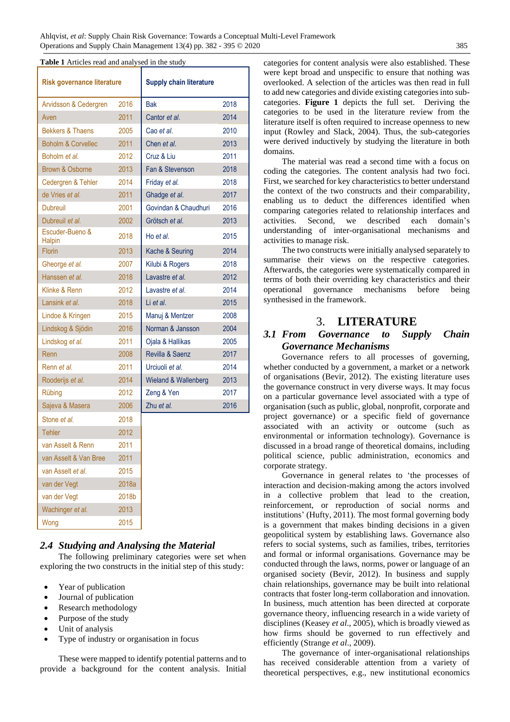**Table 1** Articles read and analysed in the study

| <b>Risk governance literature</b> |       | <b>Supply chain literature</b> |      |
|-----------------------------------|-------|--------------------------------|------|
| Arvidsson & Cedergren             | 2016  | <b>Bak</b>                     | 2018 |
| Aven                              | 2011  | Cantor et al.                  | 2014 |
| <b>Bekkers &amp; Thaens</b>       | 2005  | Cao et al.                     | 2010 |
| <b>Boholm &amp; Corvellec</b>     | 2011  | Chen et al.                    | 2013 |
| Boholm et al.                     | 2012  | Cruz & Liu                     | 2011 |
| Brown & Osborne                   | 2013  | Fan & Stevenson                | 2018 |
| Cedergren & Tehler                | 2014  | Friday et al.                  | 2018 |
| de Vries et al.                   | 2011  | Ghadge et al.                  | 2017 |
| <b>Dubreuil</b>                   | 2001  | Govindan & Chaudhuri           | 2016 |
| Dubreuil et al.                   | 2002  | Grötsch et al.                 | 2013 |
| Escuder-Bueno &<br>Halpin         | 2018  | Ho et al.                      | 2015 |
| <b>Florin</b>                     | 2013  | Kache & Seuring                | 2014 |
| Gheorge et al.                    | 2007  | Kilubi & Rogers                | 2018 |
| Hanssen et al.                    | 2018  | Lavastre et al.                | 2012 |
| Klinke & Renn                     | 2012  | Lavastre et al.                | 2014 |
| Lansink et al.                    | 2018  | Li et al.                      | 2015 |
| Lindoe & Kringen                  | 2015  | Manuj & Mentzer                | 2008 |
| Lindskog & Sjödin                 | 2016  | Norman & Jansson               | 2004 |
| Lindskog et al.                   | 2011  | Ojala & Hallikas               | 2005 |
| Renn                              | 2008  | Revilla & Saenz                | 2017 |
| Renn et al.                       | 2011  | Urciuoli et al.                | 2014 |
| Rooderijs et al.                  | 2014  | Wieland & Wallenberg           | 2013 |
| Rübing                            | 2012  | Zeng & Yen                     | 2017 |
| Sajeva & Masera                   | 2006  | 7hu et al.                     | 2016 |
| Stone et al.                      | 2018  |                                |      |
| <b>Tehler</b>                     | 2012  |                                |      |
| van Asselt & Renn                 | 2011  |                                |      |
| van Asselt & Van Bree             | 2011  |                                |      |
| van Asselt et al.                 | 2015  |                                |      |
| van der Vegt                      | 2018a |                                |      |
| van der Vegt                      | 2018b |                                |      |
| Wachinger et al.                  | 2013  |                                |      |
| Wong                              | 2015  |                                |      |

#### *2.4 Studying and Analysing the Material*

The following preliminary categories were set when exploring the two constructs in the initial step of this study:

- Year of publication
- Journal of publication
- Research methodology
- Purpose of the study
- Unit of analysis
- Type of industry or organisation in focus

These were mapped to identify potential patterns and to provide a background for the content analysis. Initial categories for content analysis were also established. These were kept broad and unspecific to ensure that nothing was overlooked. A selection of the articles was then read in full to add new categories and divide existing categoriesinto subcategories. **Figure 1** depicts the full set. Deriving the categories to be used in the literature review from the literature itself is often required to increase openness to new input (Rowley and Slack, 2004). Thus, the sub-categories were derived inductively by studying the literature in both domains.

The material was read a second time with a focus on coding the categories. The content analysis had two foci. First, we searched for key characteristics to better understand the context of the two constructs and their comparability, enabling us to deduct the differences identified when comparing categories related to relationship interfaces and activities. Second, we described each domain's understanding of inter-organisational mechanisms and activities to manage risk.

The two constructs were initially analysed separately to summarise their views on the respective categories. Afterwards, the categories were systematically compared in terms of both their overriding key characteristics and their operational governance mechanisms before being synthesised in the framework.

## 3. **LITERATURE**

## *3.1 From Governance to Supply Chain Governance Mechanisms*

Governance refers to all processes of governing, whether conducted by a government, a market or a network of organisations (Bevir, 2012). The existing literature uses the governance construct in very diverse ways. It may focus on a particular governance level associated with a type of organisation (such as public, global, nonprofit, corporate and project governance) or a specific field of governance associated with an activity or outcome (such as environmental or information technology). Governance is discussed in a broad range of theoretical domains, including political science, public administration, economics and corporate strategy.

Governance in general relates to 'the processes of interaction and decision-making among the actors involved in a collective problem that lead to the creation, reinforcement, or reproduction of social norms and institutions' (Hufty, 2011). The most formal governing body is a government that makes binding decisions in a given geopolitical system by establishing laws. Governance also refers to social systems, such as families, tribes, territories and formal or informal organisations. Governance may be conducted through the laws, norms, power or language of an organised society (Bevir, 2012). In business and supply chain relationships, governance may be built into relational contracts that foster long-term collaboration and innovation. In business, much attention has been directed at corporate governance theory, influencing research in a wide variety of disciplines (Keasey *et al*., 2005), which is broadly viewed as how firms should be governed to run effectively and efficiently (Strange *et al*., 2009).

The governance of inter-organisational relationships has received considerable attention from a variety of theoretical perspectives, e.g., new institutional economics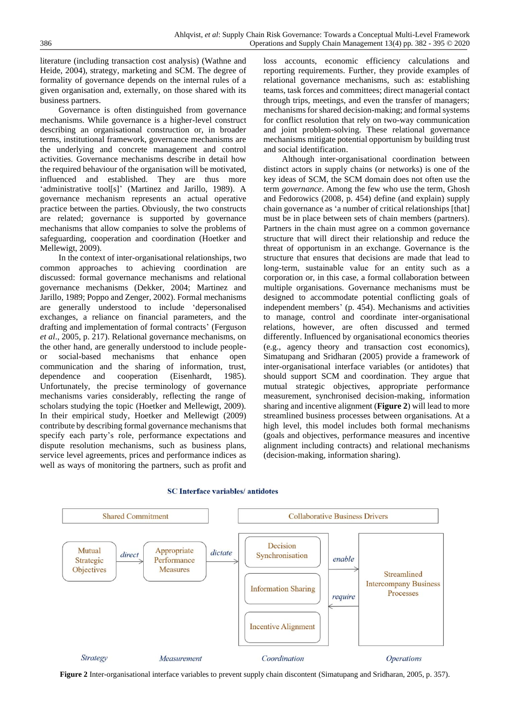literature (including transaction cost analysis) (Wathne and Heide, 2004), strategy, marketing and SCM. The degree of formality of governance depends on the internal rules of a given organisation and, externally, on those shared with its business partners.

Governance is often distinguished from governance mechanisms. While governance is a higher-level construct describing an organisational construction or, in broader terms, institutional framework, governance mechanisms are the underlying and concrete management and control activities. Governance mechanisms describe in detail how the required behaviour of the organisation will be motivated, influenced and established. They are thus more 'administrative tool[s]' (Martinez and Jarillo, 1989). A governance mechanism represents an actual operative practice between the parties. Obviously, the two constructs are related; governance is supported by governance mechanisms that allow companies to solve the problems of safeguarding, cooperation and coordination (Hoetker and Mellewigt, 2009).

In the context of inter-organisational relationships, two common approaches to achieving coordination are discussed: formal governance mechanisms and relational governance mechanisms (Dekker, 2004; Martinez and Jarillo, 1989; Poppo and Zenger, 2002). Formal mechanisms are generally understood to include 'depersonalised exchanges, a reliance on financial parameters, and the drafting and implementation of formal contracts' (Ferguson *et al*., 2005, p. 217). Relational governance mechanisms, on the other hand, are generally understood to include peopleor social-based mechanisms that enhance open communication and the sharing of information, trust, dependence and cooperation (Eisenhardt, 1985). Unfortunately, the precise terminology of governance mechanisms varies considerably, reflecting the range of scholars studying the topic (Hoetker and Mellewigt, 2009). In their empirical study, Hoetker and Mellewigt (2009) contribute by describing formal governance mechanisms that specify each party's role, performance expectations and dispute resolution mechanisms, such as business plans, service level agreements, prices and performance indices as well as ways of monitoring the partners, such as profit and loss accounts, economic efficiency calculations and reporting requirements. Further, they provide examples of relational governance mechanisms, such as: establishing teams, task forces and committees; direct managerial contact through trips, meetings, and even the transfer of managers; mechanisms for shared decision-making; and formal systems for conflict resolution that rely on two-way communication and joint problem-solving. These relational governance mechanisms mitigate potential opportunism by building trust and social identification.

Although inter-organisational coordination between distinct actors in supply chains (or networks) is one of the key ideas of SCM, the SCM domain does not often use the term *governance*. Among the few who use the term, Ghosh and Fedorowics (2008, p. 454) define (and explain) supply chain governance as 'a number of critical relationships [that] must be in place between sets of chain members (partners). Partners in the chain must agree on a common governance structure that will direct their relationship and reduce the threat of opportunism in an exchange. Governance is the structure that ensures that decisions are made that lead to long‐term, sustainable value for an entity such as a corporation or, in this case, a formal collaboration between multiple organisations. Governance mechanisms must be designed to accommodate potential conflicting goals of independent members' (p. 454). Mechanisms and activities to manage, control and coordinate inter-organisational relations, however, are often discussed and termed differently. Influenced by organisational economics theories (e.g., agency theory and transaction cost economics), Simatupang and Sridharan (2005) provide a framework of inter-organisational interface variables (or antidotes) that should support SCM and coordination. They argue that mutual strategic objectives, appropriate performance measurement, synchronised decision-making, information sharing and incentive alignment (**Figure 2**) will lead to more streamlined business processes between organisations. At a high level, this model includes both formal mechanisms (goals and objectives, performance measures and incentive alignment including contracts) and relational mechanisms (decision-making, information sharing).



#### **SC** Interface variables/ antidotes

**Figure 2** Inter-organisational interface variables to prevent supply chain discontent (Simatupang and Sridharan, 2005, p. 357).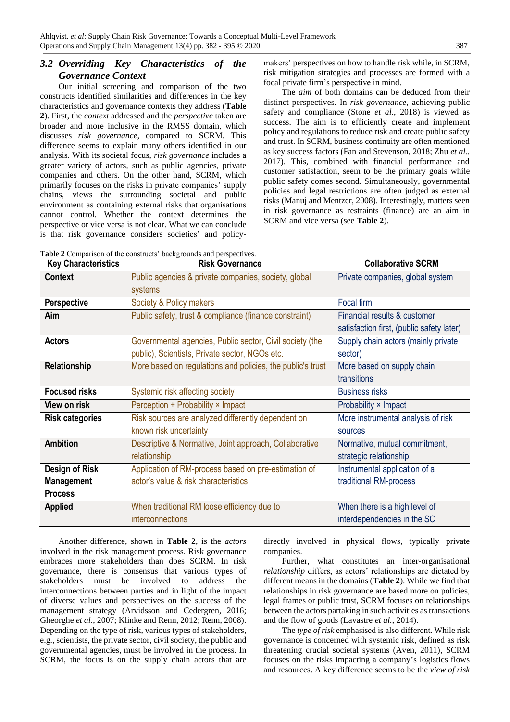## *3.2 Overriding Key Characteristics of the Governance Context*

Our initial screening and comparison of the two constructs identified similarities and differences in the key characteristics and governance contexts they address (**Table 2**). First, the *context* addressed and the *perspective* taken are broader and more inclusive in the RMSS domain, which discusses *risk governance*, compared to SCRM. This difference seems to explain many others identified in our analysis. With its societal focus, *risk governance* includes a greater variety of actors, such as public agencies, private companies and others. On the other hand, SCRM, which primarily focuses on the risks in private companies' supply chains, views the surrounding societal and public environment as containing external risks that organisations cannot control. Whether the context determines the perspective or vice versa is not clear. What we can conclude is that risk governance considers societies' and policymakers' perspectives on how to handle risk while, in SCRM, risk mitigation strategies and processes are formed with a focal private firm's perspective in mind.

The *aim* of both domains can be deduced from their distinct perspectives. In *risk governance,* achieving public safety and compliance (Stone *et al.*, 2018) is viewed as success. The aim is to efficiently create and implement policy and regulations to reduce risk and create public safety and trust. In SCRM, business continuity are often mentioned as key success factors (Fan and Stevenson, 2018; Zhu *et al.*, 2017). This, combined with financial performance and customer satisfaction, seem to be the primary goals while public safety comes second. Simultaneously, governmental policies and legal restrictions are often judged as external risks (Manuj and Mentzer, 2008). Interestingly, matters seen in risk governance as restraints (finance) are an aim in SCRM and vice versa (see **Table 2**).

| Table 2 Comparison of the constructs' backgrounds and perspectives. |                                                            |                                           |  |  |
|---------------------------------------------------------------------|------------------------------------------------------------|-------------------------------------------|--|--|
| <b>Key Characteristics</b>                                          | <b>Risk Governance</b>                                     | <b>Collaborative SCRM</b>                 |  |  |
| <b>Context</b>                                                      | Public agencies & private companies, society, global       | Private companies, global system          |  |  |
|                                                                     | systems                                                    |                                           |  |  |
| <b>Perspective</b>                                                  | Society & Policy makers                                    | Focal firm                                |  |  |
| <b>Aim</b>                                                          | Public safety, trust & compliance (finance constraint)     | Financial results & customer              |  |  |
|                                                                     |                                                            | satisfaction first, (public safety later) |  |  |
| <b>Actors</b>                                                       | Governmental agencies, Public sector, Civil society (the   | Supply chain actors (mainly private       |  |  |
|                                                                     | public), Scientists, Private sector, NGOs etc.             | sector)                                   |  |  |
| Relationship                                                        | More based on regulations and policies, the public's trust | More based on supply chain                |  |  |
|                                                                     |                                                            | transitions                               |  |  |
| <b>Focused risks</b>                                                | Systemic risk affecting society                            | <b>Business risks</b>                     |  |  |
| View on risk                                                        | Perception + Probability × Impact                          | Probability × Impact                      |  |  |
| <b>Risk categories</b>                                              | Risk sources are analyzed differently dependent on         | More instrumental analysis of risk        |  |  |
|                                                                     | known risk uncertainty                                     | sources                                   |  |  |
| <b>Ambition</b>                                                     | Descriptive & Normative, Joint approach, Collaborative     | Normative, mutual commitment,             |  |  |
|                                                                     | relationship                                               | strategic relationship                    |  |  |
| Design of Risk                                                      | Application of RM-process based on pre-estimation of       | Instrumental application of a             |  |  |
| <b>Management</b>                                                   | actor's value & risk characteristics                       | traditional RM-process                    |  |  |
| <b>Process</b>                                                      |                                                            |                                           |  |  |
| <b>Applied</b>                                                      | When traditional RM loose efficiency due to                | When there is a high level of             |  |  |
|                                                                     | interconnections                                           | interdependencies in the SC               |  |  |

Another difference, shown in **Table 2**, is the *actors* involved in the risk management process. Risk governance embraces more stakeholders than does SCRM. In risk governance, there is consensus that various types of stakeholders must be involved to address the interconnections between parties and in light of the impact of diverse values and perspectives on the success of the management strategy (Arvidsson and Cedergren, 2016; Gheorghe *et al*., 2007; Klinke and Renn, 2012; Renn, 2008). Depending on the type of risk, various types of stakeholders, e.g., scientists, the private sector, civil society, the public and governmental agencies, must be involved in the process. In SCRM, the focus is on the supply chain actors that are

directly involved in physical flows, typically private companies.

Further, what constitutes an inter-organisational *relationship* differs, as actors' relationships are dictated by different means in the domains (**Table 2**). While we find that relationships in risk governance are based more on policies, legal frames or public trust, SCRM focuses on relationships between the actors partaking in such activities as transactions and the flow of goods (Lavastre *et al.*, 2014).

The *type of risk* emphasised is also different. While risk governance is concerned with systemic risk, defined as risk threatening crucial societal systems (Aven, 2011), SCRM focuses on the risks impacting a company's logistics flows and resources. A key difference seems to be the *view of risk*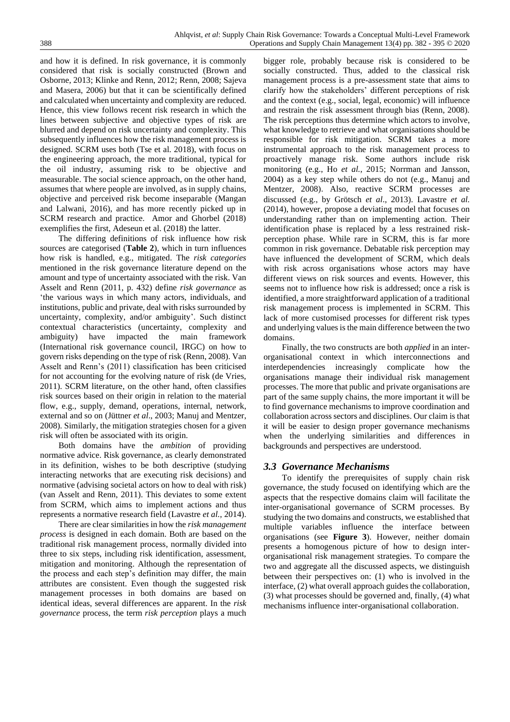and how it is defined. In risk governance, it is commonly considered that risk is socially constructed (Brown and Osborne, 2013; Klinke and Renn, 2012; Renn, 2008; Sajeva and Masera, 2006) but that it can be scientifically defined and calculated when uncertainty and complexity are reduced. Hence, this view follows recent risk research in which the lines between subjective and objective types of risk are blurred and depend on risk uncertainty and complexity. This subsequently influences how the risk management process is designed. SCRM uses both (Tse et al. 2018), with focus on the engineering approach, the more traditional, typical for the oil industry, assuming risk to be objective and measurable. The social science approach, on the other hand, assumes that where people are involved, as in supply chains, objective and perceived risk become inseparable (Mangan and Lalwani, 2016), and has more recently picked up in SCRM research and practice. Amor and Ghorbel (2018)

exemplifies the first, Adeseun et al. (2018) the latter. The differing definitions of risk influence how risk sources are categorised (**Table 2**), which in turn influences how risk is handled, e.g., mitigated. The *risk categories* mentioned in the risk governance literature depend on the amount and type of uncertainty associated with the risk. Van Asselt and Renn (2011, p. 432) define *risk governance* as 'the various ways in which many actors, individuals, and institutions, public and private, deal with risks surrounded by uncertainty, complexity, and/or ambiguity'. Such distinct contextual characteristics (uncertainty, complexity and ambiguity) have impacted the main framework (International risk governance council, IRGC) on how to govern risks depending on the type of risk (Renn, 2008). Van Asselt and Renn's (2011) classification has been criticised for not accounting for the evolving nature of risk (de Vries, 2011). SCRM literature, on the other hand, often classifies risk sources based on their origin in relation to the material flow, e.g., supply, demand, operations, internal, network, external and so on (Jüttner *et al*., 2003; Manuj and Mentzer, 2008). Similarly, the mitigation strategies chosen for a given risk will often be associated with its origin.

Both domains have the *ambition* of providing normative advice. Risk governance, as clearly demonstrated in its definition, wishes to be both descriptive (studying interacting networks that are executing risk decisions) and normative (advising societal actors on how to deal with risk) (van Asselt and Renn, 2011). This deviates to some extent from SCRM, which aims to implement actions and thus represents a normative research field (Lavastre *et al.*, 2014).

There are clear similarities in how the *risk management process* is designed in each domain. Both are based on the traditional risk management process, normally divided into three to six steps, including risk identification, assessment, mitigation and monitoring. Although the representation of the process and each step's definition may differ, the main attributes are consistent. Even though the suggested risk management processes in both domains are based on identical ideas, several differences are apparent. In the *risk governance* process, the term *risk perception* plays a much

bigger role, probably because risk is considered to be socially constructed. Thus, added to the classical risk management process is a pre-assessment state that aims to clarify how the stakeholders' different perceptions of risk and the context (e.g., social, legal, economic) will influence and restrain the risk assessment through bias (Renn, 2008). The risk perceptions thus determine which actors to involve, what knowledge to retrieve and what organisations should be responsible for risk mitigation. SCRM takes a more instrumental approach to the risk management process to proactively manage risk. Some authors include risk monitoring (e.g., Ho *et al.*, 2015; Norrman and Jansson, 2004) as a key step while others do not (e.g., Manuj and Mentzer, 2008). Also, reactive SCRM processes are discussed (e.g., by Grötsch *et al*., 2013). Lavastre *et al.*  (2014), however, propose a deviating model that focuses on understanding rather than on implementing action. Their identification phase is replaced by a less restrained riskperception phase. While rare in SCRM, this is far more common in risk governance. Debatable risk perception may have influenced the development of SCRM, which deals with risk across organisations whose actors may have different views on risk sources and events. However, this seems not to influence how risk is addressed; once a risk is identified, a more straightforward application of a traditional risk management process is implemented in SCRM. This lack of more customised processes for different risk types and underlying values is the main difference between the two domains.

Finally, the two constructs are both *applied* in an interorganisational context in which interconnections and interdependencies increasingly complicate how the organisations manage their individual risk management processes. The more that public and private organisations are part of the same supply chains, the more important it will be to find governance mechanisms to improve coordination and collaboration across sectors and disciplines. Our claim is that it will be easier to design proper governance mechanisms when the underlying similarities and differences in backgrounds and perspectives are understood.

#### *3.3 Governance Mechanisms*

To identify the prerequisites of supply chain risk governance, the study focused on identifying which are the aspects that the respective domains claim will facilitate the inter-organisational governance of SCRM processes. By studying the two domains and constructs, we established that multiple variables influence the interface between organisations (see **Figure 3**). However, neither domain presents a homogenous picture of how to design interorganisational risk management strategies. To compare the two and aggregate all the discussed aspects, we distinguish between their perspectives on: (1) who is involved in the interface, (2) what overall approach guides the collaboration, (3) what processes should be governed and, finally, (4) what mechanisms influence inter-organisational collaboration.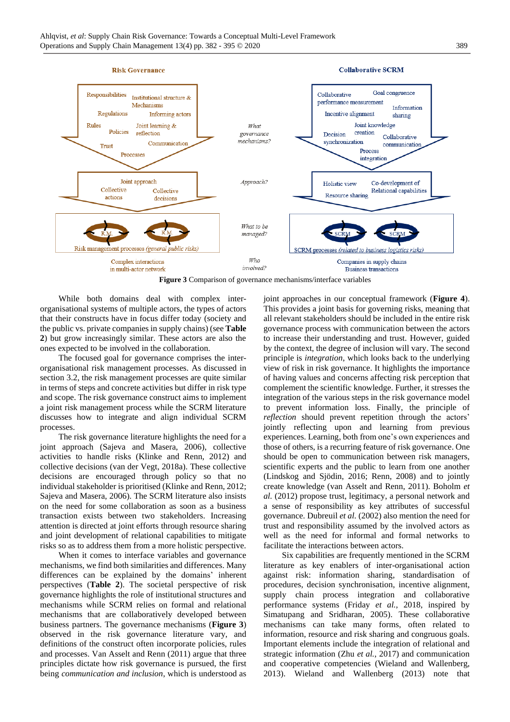

**Figure 3** Comparison of governance mechanisms/interface variables

While both domains deal with complex interorganisational systems of multiple actors, the types of actors that their constructs have in focus differ today (society and the public vs. private companies in supply chains) (see **Table 2**) but grow increasingly similar. These actors are also the ones expected to be involved in the collaboration.

The focused goal for governance comprises the interorganisational risk management processes. As discussed in section 3.2, the risk management processes are quite similar in terms of steps and concrete activities but differ in risk type and scope. The risk governance construct aims to implement a joint risk management process while the SCRM literature discusses how to integrate and align individual SCRM processes.

The risk governance literature highlights the need for a joint approach (Sajeva and Masera, 2006), collective activities to handle risks (Klinke and Renn, 2012) and collective decisions (van der Vegt, 2018a). These collective decisions are encouraged through policy so that no individual stakeholder is prioritised (Klinke and Renn, 2012; Sajeva and Masera, 2006). The SCRM literature also insists on the need for some collaboration as soon as a business transaction exists between two stakeholders. Increasing attention is directed at joint efforts through resource sharing and joint development of relational capabilities to mitigate risks so as to address them from a more holistic perspective.

When it comes to interface variables and governance mechanisms, we find both similarities and differences. Many differences can be explained by the domains' inherent perspectives (**Table 2**). The societal perspective of risk governance highlights the role of institutional structures and mechanisms while SCRM relies on formal and relational mechanisms that are collaboratively developed between business partners. The governance mechanisms (**Figure 3**) observed in the risk governance literature vary, and definitions of the construct often incorporate policies, rules and processes. Van Asselt and Renn (2011) argue that three principles dictate how risk governance is pursued, the first being *communication and inclusion*, which is understood as joint approaches in our conceptual framework (**Figure 4**). This provides a joint basis for governing risks, meaning that all relevant stakeholders should be included in the entire risk governance process with communication between the actors to increase their understanding and trust. However, guided by the context, the degree of inclusion will vary. The second principle is *integration*, which looks back to the underlying view of risk in risk governance. It highlights the importance of having values and concerns affecting risk perception that complement the scientific knowledge. Further, it stresses the integration of the various steps in the risk governance model to prevent information loss. Finally, the principle of *reflection* should prevent repetition through the actors' jointly reflecting upon and learning from previous experiences. Learning, both from one's own experiences and those of others, is a recurring feature of risk governance. One should be open to communication between risk managers, scientific experts and the public to learn from one another (Lindskog and Sjödin, 2016; Renn, 2008) and to jointly create knowledge (van Asselt and Renn, 2011). Boholm *et al.* (2012) propose trust, legitimacy, a personal network and a sense of responsibility as key attributes of successful governance. Dubreuil *et al.* (2002) also mention the need for trust and responsibility assumed by the involved actors as well as the need for informal and formal networks to facilitate the interactions between actors.

Six capabilities are frequently mentioned in the SCRM literature as key enablers of inter-organisational action against risk: information sharing, standardisation of procedures, decision synchronisation, incentive alignment, supply chain process integration and collaborative performance systems (Friday *et al.*, 2018, inspired by Simatupang and Sridharan, 2005). These collaborative mechanisms can take many forms, often related to information, resource and risk sharing and congruous goals. Important elements include the integration of relational and strategic information (Zhu *et al.*, 2017) and communication and cooperative competencies (Wieland and Wallenberg, 2013). Wieland and Wallenberg (2013) note that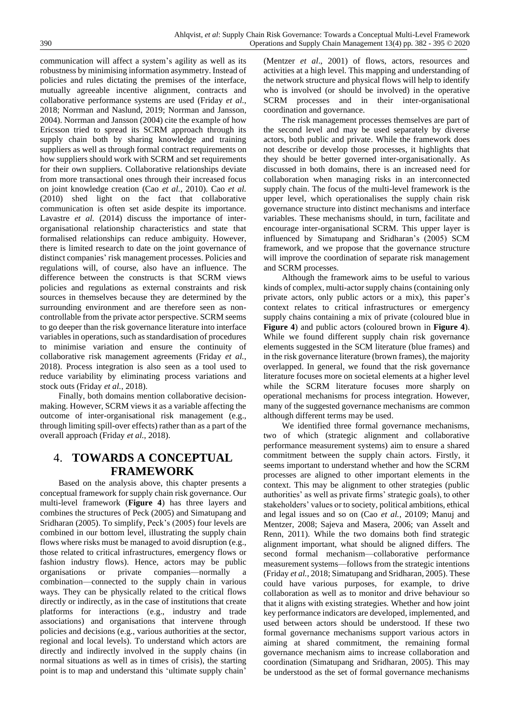communication will affect a system's agility as well as its robustness by minimising information asymmetry. Instead of policies and rules dictating the premises of the interface, mutually agreeable incentive alignment, contracts and collaborative performance systems are used (Friday *et al.*, 2018; Norrman and Naslund, 2019; Norrman and Jansson, 2004). Norrman and Jansson (2004) cite the example of how Ericsson tried to spread its SCRM approach through its supply chain both by sharing knowledge and training suppliers as well as through formal contract requirements on how suppliers should work with SCRM and set requirements for their own suppliers. Collaborative relationships deviate from more transactional ones through their increased focus on joint knowledge creation (Cao *et al.*, 2010). Cao *et al.*  (2010) shed light on the fact that collaborative communication is often set aside despite its importance. Lavastre *et al.* (2014) discuss the importance of interorganisational relationship characteristics and state that formalised relationships can reduce ambiguity. However, there is limited research to date on the joint governance of distinct companies' risk management processes. Policies and regulations will, of course, also have an influence. The difference between the constructs is that SCRM views policies and regulations as external constraints and risk sources in themselves because they are determined by the surrounding environment and are therefore seen as noncontrollable from the private actor perspective. SCRM seems to go deeper than the risk governance literature into interface variables in operations, such as standardisation of procedures to minimise variation and ensure the continuity of collaborative risk management agreements (Friday *et al.*, 2018). Process integration is also seen as a tool used to reduce variability by eliminating process variations and stock outs (Friday *et al.*, 2018).

Finally, both domains mention collaborative decisionmaking. However, SCRM views it as a variable affecting the outcome of inter-organisational risk management (e.g., through limiting spill-over effects) rather than as a part of the overall approach (Friday *et al.*, 2018).

## 4. **TOWARDS A CONCEPTUAL FRAMEWORK**

Based on the analysis above, this chapter presents a conceptual framework for supply chain risk governance. Our multi-level framework (**Figure 4**) has three layers and combines the structures of Peck (2005) and Simatupang and Sridharan (2005). To simplify, Peck's (2005) four levels are combined in our bottom level, illustrating the supply chain flows where risks must be managed to avoid disruption (e.g., those related to critical infrastructures, emergency flows or fashion industry flows). Hence, actors may be public organisations or private companies—normally a combination—connected to the supply chain in various ways. They can be physically related to the critical flows directly or indirectly, as in the case of institutions that create platforms for interactions (e.g., industry and trade associations) and organisations that intervene through policies and decisions (e.g., various authorities at the sector, regional and local levels). To understand which actors are directly and indirectly involved in the supply chains (in normal situations as well as in times of crisis), the starting point is to map and understand this 'ultimate supply chain'

(Mentzer *et al*., 2001) of flows, actors, resources and activities at a high level. This mapping and understanding of the network structure and physical flows will help to identify who is involved (or should be involved) in the operative SCRM processes and in their inter-organisational coordination and governance.

The risk management processes themselves are part of the second level and may be used separately by diverse actors, both public and private. While the framework does not describe or develop those processes, it highlights that they should be better governed inter-organisationally. As discussed in both domains, there is an increased need for collaboration when managing risks in an interconnected supply chain. The focus of the multi-level framework is the upper level, which operationalises the supply chain risk governance structure into distinct mechanisms and interface variables. These mechanisms should, in turn, facilitate and encourage inter-organisational SCRM. This upper layer is influenced by Simatupang and Sridharan's (2005) SCM framework, and we propose that the governance structure will improve the coordination of separate risk management and SCRM processes.

Although the framework aims to be useful to various kinds of complex, multi-actor supply chains (containing only private actors, only public actors or a mix), this paper's context relates to critical infrastructures or emergency supply chains containing a mix of private (coloured blue in **Figure 4**) and public actors (coloured brown in **Figure 4**). While we found different supply chain risk governance elements suggested in the SCM literature (blue frames) and in the risk governance literature (brown frames), the majority overlapped. In general, we found that the risk governance literature focuses more on societal elements at a higher level while the SCRM literature focuses more sharply on operational mechanisms for process integration. However, many of the suggested governance mechanisms are common although different terms may be used.

We identified three formal governance mechanisms, two of which (strategic alignment and collaborative performance measurement systems) aim to ensure a shared commitment between the supply chain actors. Firstly, it seems important to understand whether and how the SCRM processes are aligned to other important elements in the context. This may be alignment to other strategies (public authorities' as well as private firms' strategic goals), to other stakeholders' values or to society, political ambitions, ethical and legal issues and so on (Cao *et al.*, 20109; Manuj and Mentzer, 2008; Sajeva and Masera, 2006; van Asselt and Renn, 2011). While the two domains both find strategic alignment important, what should be aligned differs. The second formal mechanism—collaborative performance measurement systems—follows from the strategic intentions (Friday *et al.*, 2018; Simatupang and Sridharan, 2005). These could have various purposes, for example, to drive collaboration as well as to monitor and drive behaviour so that it aligns with existing strategies. Whether and how joint key performance indicators are developed, implemented, and used between actors should be understood. If these two formal governance mechanisms support various actors in aiming at shared commitment, the remaining formal governance mechanism aims to increase collaboration and coordination (Simatupang and Sridharan, 2005). This may be understood as the set of formal governance mechanisms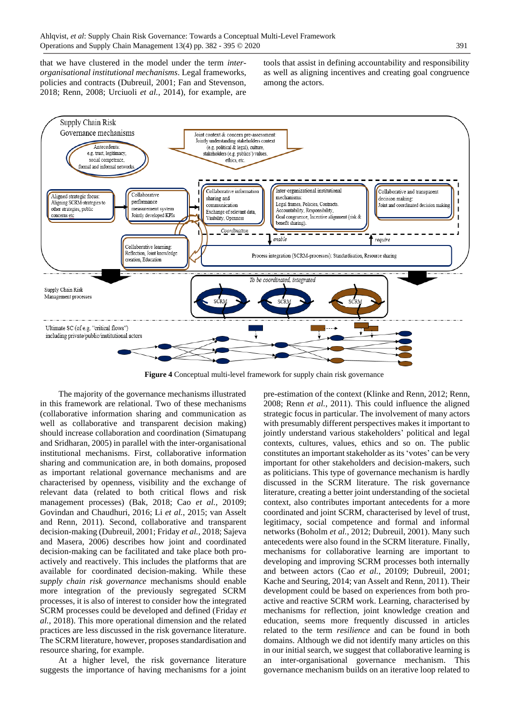that we have clustered in the model under the term *interorganisational institutional mechanisms*. Legal frameworks, policies and contracts (Dubreuil, 2001; Fan and Stevenson, 2018; Renn, 2008; Urciuoli *et al.*, 2014), for example, are tools that assist in defining accountability and responsibility as well as aligning incentives and creating goal congruence among the actors.



**Figure 4** Conceptual multi-level framework for supply chain risk governance

The majority of the governance mechanisms illustrated in this framework are relational. Two of these mechanisms (collaborative information sharing and communication as well as collaborative and transparent decision making) should increase collaboration and coordination (Simatupang and Sridharan, 2005) in parallel with the inter-organisational institutional mechanisms. First, collaborative information sharing and communication are, in both domains, proposed as important relational governance mechanisms and are characterised by openness, visibility and the exchange of relevant data (related to both critical flows and risk management processes) (Bak, 2018; Cao *et al.*, 20109; Govindan and Chaudhuri, 2016; Li *et al.*, 2015; van Asselt and Renn, 2011). Second, collaborative and transparent decision-making (Dubreuil, 2001; Friday *et al.*, 2018; Sajeva and Masera, 2006) describes how joint and coordinated decision-making can be facilitated and take place both proactively and reactively. This includes the platforms that are available for coordinated decision-making. While these *supply chain risk governance* mechanisms should enable more integration of the previously segregated SCRM processes, it is also of interest to consider how the integrated SCRM processes could be developed and defined (Friday *et al.*, 2018). This more operational dimension and the related practices are less discussed in the risk governance literature. The SCRM literature, however, proposes standardisation and resource sharing, for example.

At a higher level, the risk governance literature suggests the importance of having mechanisms for a joint pre-estimation of the context (Klinke and Renn, 2012; Renn, 2008; Renn *et al.*, 2011). This could influence the aligned strategic focus in particular. The involvement of many actors with presumably different perspectives makes it important to jointly understand various stakeholders' political and legal contexts, cultures, values, ethics and so on. The public constitutes an important stakeholder as its 'votes' can be very important for other stakeholders and decision-makers, such as politicians. This type of governance mechanism is hardly discussed in the SCRM literature. The risk governance literature, creating a better joint understanding of the societal context, also contributes important antecedents for a more coordinated and joint SCRM, characterised by level of trust, legitimacy, social competence and formal and informal networks (Boholm *et al.*, 2012; Dubreuil, 2001). Many such antecedents were also found in the SCRM literature. Finally, mechanisms for collaborative learning are important to developing and improving SCRM processes both internally and between actors (Cao *et al.*, 20109; Dubreuil, 2001; Kache and Seuring, 2014; van Asselt and Renn, 2011). Their development could be based on experiences from both proactive and reactive SCRM work. Learning, characterised by mechanisms for reflection, joint knowledge creation and education, seems more frequently discussed in articles related to the term *resilience* and can be found in both domains. Although we did not identify many articles on this in our initial search, we suggest that collaborative learning is an inter-organisational governance mechanism. This governance mechanism builds on an iterative loop related to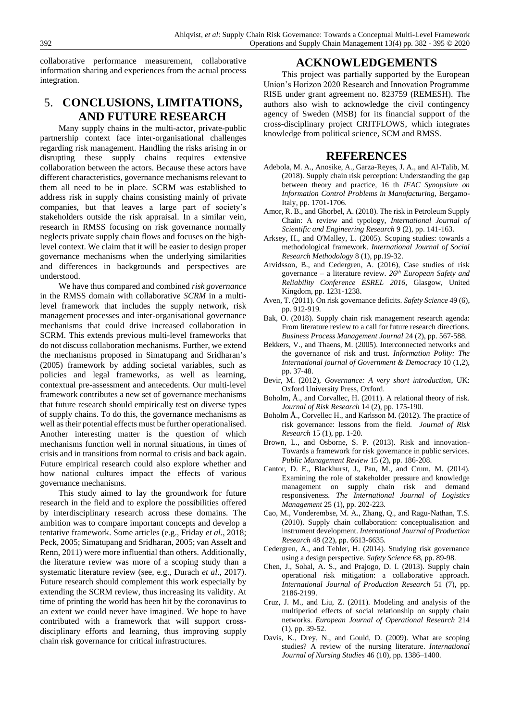collaborative performance measurement, collaborative information sharing and experiences from the actual process integration.

# 5. **CONCLUSIONS, LIMITATIONS, AND FUTURE RESEARCH**

Many supply chains in the multi-actor, private-public partnership context face inter-organisational challenges regarding risk management. Handling the risks arising in or disrupting these supply chains requires extensive collaboration between the actors. Because these actors have different characteristics, governance mechanisms relevant to them all need to be in place. SCRM was established to address risk in supply chains consisting mainly of private companies, but that leaves a large part of society's stakeholders outside the risk appraisal. In a similar vein, research in RMSS focusing on risk governance normally neglects private supply chain flows and focuses on the highlevel context. We claim that it will be easier to design proper governance mechanisms when the underlying similarities and differences in backgrounds and perspectives are understood.

We have thus compared and combined *risk governance* in the RMSS domain with collaborative *SCRM* in a multilevel framework that includes the supply network, risk management processes and inter-organisational governance mechanisms that could drive increased collaboration in SCRM. This extends previous multi-level frameworks that do not discuss collaboration mechanisms. Further, we extend the mechanisms proposed in Simatupang and Sridharan's (2005) framework by adding societal variables, such as policies and legal frameworks, as well as learning, contextual pre-assessment and antecedents. Our multi-level framework contributes a new set of governance mechanisms that future research should empirically test on diverse types of supply chains. To do this, the governance mechanisms as well as their potential effects must be further operationalised. Another interesting matter is the question of which mechanisms function well in normal situations, in times of crisis and in transitions from normal to crisis and back again. Future empirical research could also explore whether and how national cultures impact the effects of various governance mechanisms.

This study aimed to lay the groundwork for future research in the field and to explore the possibilities offered by interdisciplinary research across these domains. The ambition was to compare important concepts and develop a tentative framework. Some articles (e.g., Friday *et al.*, 2018; Peck, 2005; Simatupang and Sridharan, 2005; van Asselt and Renn, 2011) were more influential than others. Additionally, the literature review was more of a scoping study than a systematic literature review (see, e.g., Durach *et al*., 2017). Future research should complement this work especially by extending the SCRM review, thus increasing its validity. At time of printing the world has been hit by the coronavirus to an extent we could never have imagined. We hope to have contributed with a framework that will support crossdisciplinary efforts and learning, thus improving supply chain risk governance for critical infrastructures.

## **ACKNOWLEDGEMENTS**

This project was partially supported by the European Union's Horizon 2020 Research and Innovation Programme RISE under grant agreement no. 823759 (REMESH). The authors also wish to acknowledge the civil contingency agency of Sweden (MSB) for its financial support of the cross-disciplinary project CRITFLOWS, which integrates knowledge from political science, SCM and RMSS.

## **REFERENCES**

- Adebola, M. A., Anosike, A., Garza-Reyes, J. A., and Al-Talib, M. (2018). Supply chain risk perception: Understanding the gap between theory and practice, 16 th *IFAC Synopsium on Information Control Problems in Manufacturing,* Bergamo-Italy, pp. 1701-1706.
- Amor, R. B., and Ghorbel, A. (2018). The risk in Petroleum Supply Chain: A review and typology, *International Journal of Scientific and Engineering Research* 9 (2), pp. 141-163.
- Arksey, H., and O'Malley, L. (2005). Scoping studies: towards a methodological framework. *International Journal of Social Research Methodology* 8 (1), pp.19-32.
- Arvidsson, B., and Cedergren, A. (2016), Case studies of risk governance – a literature review. *26th European Safety and Reliability Conference ESREL 2016,* Glasgow, United Kingdom, pp. 1231-1238.
- Aven, T. (2011). On risk governance deficits. *Safety Science* 49 (6), pp. 912-919.
- Bak, O. (2018). Supply chain risk management research agenda: From literature review to a call for future research directions. *Business Process Management Journal* 24 (2), pp. 567-588.
- Bekkers, V., and Thaens, M. (2005). Interconnected networks and the governance of risk and trust. *Information Polity: The International journal of Government & Democracy* 10 (1,2), pp. 37-48.
- Bevir, M. (2012), *Governance: A very short introduction*, UK: Oxford University Press, Oxford.
- Boholm, Å., and Corvallec, H. (2011). A relational theory of risk. *Journal of Risk Research* 14 (2), pp. 175-190.
- Boholm Å., Corvellec H., and Karlsson M. (2012). The practice of risk governance: lessons from the field. *Journal of Risk Research* 15 (1), pp. 1-20.
- Brown, L., and Osborne, S. P. (2013). Risk and innovation-Towards a framework for risk governance in public services. *Public Management Review* 15 (2), pp. 186-208.
- Cantor, D. E., Blackhurst, J., Pan, M., and Crum, M. (2014). Examining the role of stakeholder pressure and knowledge management on supply chain risk and demand responsiveness. *The International Journal of Logistics Management* 25 (1), pp. 202-223.
- Cao, M., Vonderembse, M. A., Zhang, Q., and Ragu-Nathan, T.S. (2010). Supply chain collaboration: conceptualisation and instrument development. *International Journal of Production Research* 48 (22), pp. 6613-6635.
- Cedergren, A., and Tehler, H. (2014). Studying risk governance using a design perspective. *Safety Science* 68, pp. 89-98.
- Chen, J., Sohal, A. S., and Prajogo, D. I. (2013). Supply chain operational risk mitigation: a collaborative approach. *International Journal of Production Research* 51 (7), pp. 2186-2199.
- Cruz, J. M., and Liu, Z. (2011). Modeling and analysis of the multiperiod effects of social relationship on supply chain networks. *European Journal of Operational Research* 214 (1), pp. 39-52.
- Davis, K., Drey, N., and Gould, D. (2009). What are scoping studies? A review of the nursing literature. *International Journal of Nursing Studies* 46 (10), pp. 1386–1400.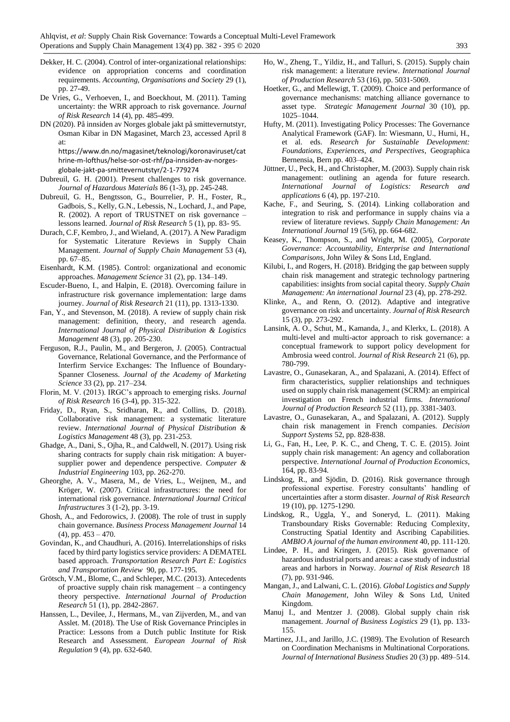- Dekker, H. C. (2004). Control of inter-organizational relationships: evidence on appropriation concerns and coordination requirements. *Accounting, Organisations and Society* 29 (1), pp. 27-49.
- De Vries, G., Verhoeven, I., and Boeckhout, M. (2011). Taming uncertainty: the WRR approach to risk governance. *Journal of Risk Research* 14 (4), pp. 485-499.
- DN (2020). På innsiden av Norges globale jakt på smittevernutstyr, Osman Kibar in DN Magasinet, March 23, accessed April 8 at: https://www.dn.no/magasinet/teknologi/koronaviruset/cat

hrine-m-lofthus/helse-sor-ost-rhf/pa-innsiden-av-norgesglobale-jakt-pa-smittevernutstyr/2-1-779274

- Dubreuil, G. H. (2001). Present challenges to risk governance. *Journal of Hazardous Materials* 86 (1-3), pp. 245-248.
- Dubreuil, G. H., Bengtsson, G., Bourrelier, P. H., Foster, R., Gadbois, S., Kelly, G.N., Lebessis, N., Lochard, J., and Pape, R. (2002). A report of TRUSTNET on risk governance – lessons learned. *Journal of Risk Research* 5 (1), pp. 83- 95.
- Durach, C.F, Kembro, J., and Wieland, A. (2017). A New Paradigm for Systematic Literature Reviews in Supply Chain Management. *Journal of Supply Chain Management* 53 (4), pp. 67–85.
- Eisenhardt, K.M. (1985). Control: organizational and economic approaches. *Management Science* 31 (2), pp. 134–149.
- Escuder-Bueno, I., and Halpin, E. (2018). Overcoming failure in infrastructure risk governance implementation: large dams journey. *Journal of Risk Research* 21 (11), pp. 1313-1330.
- Fan, Y., and Stevenson, M. (2018). A review of supply chain risk management: definition, theory, and research agenda. *International Journal of Physical Distribution & Logistics Management* 48 (3), pp. 205-230.
- Ferguson, R.J., Paulin, M., and Bergeron, J. (2005). Contractual Governance, Relational Governance, and the Performance of Interfirm Service Exchanges: The Influence of Boundary-Spanner Closeness. *Journal of the Academy of Marketing Science* 33 (2), pp. 217–234.
- Florin, M. V. (2013). IRGC's approach to emerging risks. *Journal of Risk Research* 16 (3-4), pp. 315-322.
- Friday, D., Ryan, S., Sridharan, R., and Collins, D. (2018). Collaborative risk management: a systematic literature review. *International Journal of Physical Distribution & Logistics Management* 48 (3), pp. 231-253.
- Ghadge, A., Dani, S., Ojha, R., and Caldwell, N. (2017). Using risk sharing contracts for supply chain risk mitigation: A buyersupplier power and dependence perspective. *Computer & Industrial Engineering* 103, pp. 262-270.
- Gheorghe, A. V., Masera, M., de Vries, L., Weijnen, M., and Kröger, W. (2007). Critical infrastructures: the need for international risk governance. *International Journal Critical Infrastructures* 3 (1-2), pp. 3-19.
- Ghosh, A., and Fedorowics, J. (2008). The role of trust in supply chain governance. *Business Process Management Journal* 14  $(4)$ , pp.  $453 - 470$ .
- Govindan, K., and Chaudhuri, A. (2016). Interrelationships of risks faced by third party logistics service providers: A DEMATEL based approach. *Transportation Research Part E: Logistics and Transportation Review* 90, pp. 177-195*.*
- Grötsch, V.M., Blome, C., and Schleper, M.C. (2013). Antecedents of proactive supply chain risk management – a contingency theory perspective. *International Journal of Production Research* 51 (1), pp. 2842-2867.
- Hanssen, L., Devilee, J., Hermans, M., van Zijverden, M., and van Asslet. M. (2018). The Use of Risk Governance Principles in Practice: Lessons from a Dutch public Institute for Risk Research and Assessment. *European Journal of Risk Regulation* 9 (4), pp. 632-640.
- Ho, W., Zheng, T., Yildiz, H., and Talluri, S. (2015). Supply chain risk management: a literature review. *International Journal of Production Research* 53 (16), pp. 5031-5069.
- Hoetker, G., and Mellewigt, T. (2009). Choice and performance of governance mechanisms: matching alliance governance to asset type. *Strategic Management Journal* 30 (10), pp. 1025–1044.
- Hufty, M. (2011). Investigating Policy Processes: The Governance Analytical Framework (GAF). In: Wiesmann, U., Hurni, H., et al. eds. *Research for Sustainable Development: Foundations, Experiences, and Perspectives*, Geographica Bernensia, Bern pp. 403–424.
- Jüttner, U., Peck, H., and Christopher, M. (2003). Supply chain risk management: outlining an agenda for future research. *International Journal of Logistics: Research and applications* 6 (4), pp. 197-210.
- Kache, F., and Seuring, S. (2014). Linking collaboration and integration to risk and performance in supply chains via a review of literature reviews. *Supply Chain Management: An International Journal* 19 (5/6), pp. 664-682.
- Keasey, K., Thompson, S., and Wright, M. (2005), *Corporate Governance: Accountability, Enterprise and International Comparisons*, John Wiley & Sons Ltd, England.
- Kilubi, I., and Rogers, H. (2018). Bridging the gap between supply chain risk management and strategic technology partnering capabilities: insights from social capital theory. *Supply Chain Management: An international Journal* 23 (4), pp. 278-292.
- Klinke, A., and Renn, O. (2012). Adaptive and integrative governance on risk and uncertainty. *Journal of Risk Research*  15 (3), pp. 273-292.
- Lansink, A. O., Schut, M., Kamanda, J., and Klerkx, L. (2018). A multi-level and multi-actor approach to risk governance: a conceptual framework to support policy development for Ambrosia weed control. *Journal of Risk Research* 21 (6), pp. 780-799.
- Lavastre, O., Gunasekaran, A., and Spalazani, A. (2014). Effect of firm characteristics, supplier relationships and techniques used on supply chain risk management (SCRM): an empirical investigation on French industrial firms. *International Journal of Production Research* 52 (11), pp. 3381-3403.
- Lavastre, O., Gunasekaran, A., and Spalazani, A. (2012). Supply chain risk management in French companies. *Decision Support Systems* 52, pp. 828-838.
- Li, G., Fan, H., Lee, P. K. C., and Cheng, T. C. E. (2015). Joint supply chain risk management: An agency and collaboration perspective. *International Journal of Production Economics*, 164, pp. 83-94.
- Lindskog, R., and Sjödin, D. (2016). Risk governance through professional expertise. Forestry consultants' handling of uncertainties after a storm disaster. *Journal of Risk Research*  19 (10), pp. 1275-1290.
- Lindskog, R., Uggla, Y., and Soneryd, L. (2011). Making Transboundary Risks Governable: Reducing Complexity, Constructing Spatial Identity and Ascribing Capabilities. *AMBIO A journal of the human environment* 40, pp. 111-120.
- Lindøe, P. H., and Kringen, J. (2015). Risk governance of hazardous industrial ports and areas: a case study of industrial areas and harbors in Norway. *Journal of Risk Research* 18 (7), pp. 931-946.
- Mangan, J., and Lalwani, C. L. (2016). *Global Logistics and Supply Chain Management*, John Wiley & Sons Ltd, United Kingdom.
- Manuj I., and Mentzer J. (2008). Global supply chain risk management. *Journal of Business Logistics* 29 (1), pp. 133- 155.
- Martinez, J.I., and Jarillo, J.C. (1989). The Evolution of Research on Coordination Mechanisms in Multinational Corporations. *Journal of International Business Studies* 20 (3) pp. 489–514.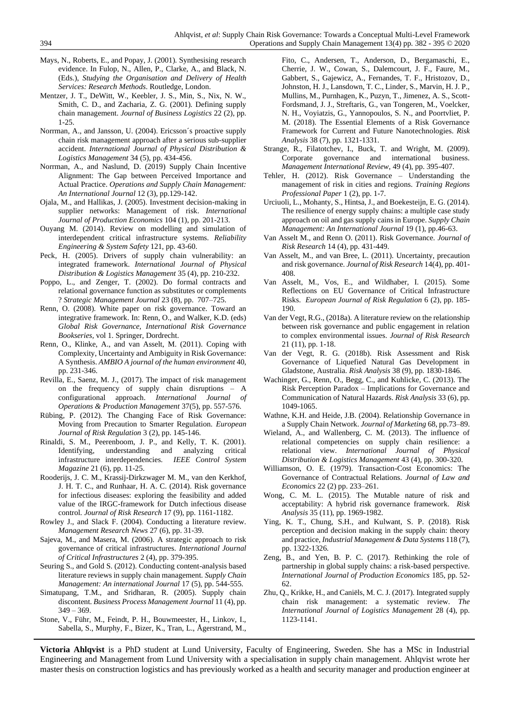- Mays, N., Roberts, E., and Popay, J. (2001). Synthesising research evidence. In Fulop, N., Allen, P., Clarke, A., and Black, N. (Eds.), *Studying the Organisation and Delivery of Health Services: Research Methods*. Routledge, London.
- Mentzer, J. T., DeWitt, W., Keebler, J. S., Min, S., Nix, N. W., Smith, C. D., and Zacharia, Z. G. (2001). Defining supply chain management. *Journal of Business Logistics* 22 (2), pp. 1-25.
- Norrman, A., and Jansson, U. (2004). Ericsson´s proactive supply chain risk management approach after a serious sub-supplier accident. *International Journal of Physical Distribution & Logistics Management* 34 (5), pp. 434-456.
- Norrman, A., and Naslund, D. (2019) Supply Chain Incentive Alignment: The Gap between Perceived Importance and Actual Practice. *Operations and Supply Chain Management: An International Journal* 12 (3), pp.129-142.
- Ojala, M., and Hallikas, J. (2005). Investment decision-making in supplier networks: Management of risk. *International Journal of Production Economics* 104 (1), pp. 201-213.
- Ouyang M. (2014). Review on modelling and simulation of interdependent critical infrastructure systems. *Reliability Engineering & System Safety* 121, pp. 43-60.
- Peck, H. (2005). Drivers of supply chain vulnerability: an integrated framework. *International Journal of Physical Distribution & Logistics Management* 35 (4), pp. 210-232.
- Poppo, L., and Zenger, T. (2002). Do formal contracts and relational governance function as substitutes or complements ? *Strategic Management Journal* 23 (8), pp. 707–725.
- Renn, O. (2008). White paper on risk governance. Toward an integrative framework. In: Renn, O., and Walker, K.D. (eds) *Global Risk Governance, International Risk Governance Bookseries,* vol 1. Springer, Dordrecht.
- Renn, O., Klinke, A., and van Asselt, M. (2011). Coping with Complexity, Uncertainty and Ambiguity in Risk Governance: A Synthesis. *AMBIO A journal of the human environment* 40, pp. 231-346.
- Revilla, E., Saenz, M. J., (2017). The impact of risk management on the frequency of supply chain disruptions – A configurational approach. *International Journal of Operations & Production Management* 37(5), pp. 557-576.
- Rübing, P. (2012). The Changing Face of Risk Governance: Moving from Precaution to Smarter Regulation. *European Journal of Risk Regulation* 3 (2), pp. 145-146.
- Rinaldi, S. M., Peerenboom, J. P., and Kelly, T. K. (2001). Identifying, understanding and analyzing critical infrastructure interdependencies. *IEEE Control System Magazine* 21 (6)*,* pp. 11-25.
- Rooderijs, J. C. M., Krassij-Dirkzwager M. M., van den Kerkhof, J. H. T. C., and Runhaar, H. A. C. (2014). Risk governance for infectious diseases: exploring the feasibility and added value of the IRGC-framework for Dutch infectious disease control. *Journal of Risk Research* 17 (9), pp. 1161-1182.
- Rowley J., and Slack F. (2004). Conducting a literature review. *Management Research News* 27 (6), pp. 31-39.
- Sajeva, M., and Masera, M. (2006). A strategic approach to risk governance of critical infrastructures. *International Journal of Critical Infrastructures* 2 (4), pp. 379-395.
- Seuring S., and Gold S. (2012). Conducting content-analysis based literature reviews in supply chain management. *Supply Chain Management: An international Journal* 17 (5), pp. 544-555.
- Simatupang, T.M., and Sridharan, R. (2005). Supply chain discontent. *Business Process Management Journal* 11 (4), pp.  $349 - 369$
- Stone, V., Führ, M., Feindt, P. H., Bouwmeester, H., Linkov, I., Sabella, S., Murphy, F., Bizer, K., Tran, L., Ågerstrand, M.,

Fito, C., Andersen, T., Anderson, D., Bergamaschi, E., Cherrie, J. W., Cowan, S., Dalemcourt, J. F., Faure, M., Gabbert, S., Gajewicz, A., Fernandes, T. F., Hristozov, D., Johnston, H. J., Lansdown, T. C., Linder, S., Marvin, H. J. P., Mullins, M., Purnhagen, K., Puzyn, T., Jimenez, A. S., Scott-Fordsmand, J. J., Streftaris, G., van Tongeren, M., Voelcker, N. H., Voyiatzis, G., Yannopoulos, S. N., and Poortvliet, P. M. (2018). The Essential Elements of a Risk Governance Framework for Current and Future Nanotechnologies. *Risk Analysis* 38 (7), pp. 1321-1331.

- Strange, R., Filatotchev, I., Buck, T. and Wright, M. (2009). Corporate governance and international business. *Management International Review*, 49 (4), pp. 395-407.
- Tehler, H. (2012). Risk Governance Understanding the management of risk in cities and regions. *Training Regions Professional Paper* 1 (2), pp. 1-7.
- Urciuoli, L., Mohanty, S., Hintsa, J., and Boekesteijn, E. G. (2014). The resilience of energy supply chains: a multiple case study approach on oil and gas supply cains in Europe. *Supply Chain Management: An International Journal* 19 (1), pp.46-63.
- Van Asselt M., and Renn O. (2011). Risk Governance. *Journal of Risk Research* 14 (4), pp. 431-449.
- Van Asselt, M., and van Bree, L. (2011). Uncertainty, precaution and risk governance. *Journal of Risk Research* 14(4), pp. 401- 408.
- Van Asselt, M., Vos, E., and Wildhaber, I. (2015). Some Reflections on EU Governance of Critical Infrastructure Risks. *European Journal of Risk Regulation* 6 (2), pp. 185- 190.
- Van der Vegt, R.G., (2018a). A literature review on the relationship between risk governance and public engagement in relation to complex environmental issues. *Journal of Risk Research*  21 (11), pp. 1-18.
- Van der Vegt, R. G. (2018b). Risk Assessment and Risk Governance of Liquefied Natural Gas Development in Gladstone, Australia. *Risk Analysis* 38 (9), pp. 1830-1846.
- Wachinger, G., Renn, O., Begg, C., and Kuhlicke, C. (2013). The Risk Perception Paradox – Implications for Governance and Communication of Natural Hazards. *Risk Analysis* 33 (6), pp. 1049-1065.
- Wathne, K.H. and Heide, J.B. (2004). Relationship Governance in a Supply Chain Network. *Journal of Marketing* 68, pp.73–89.
- Wieland, A., and Wallenberg, C. M. (2013). The influence of relational competencies on supply chain resilience: a relational view. *International Journal of Physical Distribution & Logistics Management* 43 (4), pp. 300-320.
- Williamson, O. E. (1979). Transaction-Cost Economics: The Governance of Contractual Relations. *Journal of Law and Economics* 22 (2) pp. 233–261.
- Wong, C. M. L. (2015). The Mutable nature of risk and acceptability: A hybrid risk governance framework. *Risk Analysis* 35 (11), pp. 1969-1982.
- Ying, K. T., Chung, S.H., and Kulwant, S. P. (2018). Risk perception and decision making in the supply chain: theory and practice, *Industrial Management & Data Systems* 118 (7), pp. 1322-1326.
- Zeng, B., and Yen, B. P. C. (2017). Rethinking the role of partnership in global supply chains: a risk-based perspective. *International Journal of Production Economics* 185, pp. 52- 62.
- Zhu, Q., Krikke, H., and Caniëls, M. C. J. (2017). Integrated supply chain risk management: a systematic review. *The International Journal of Logistics Management* 28 (4), pp. 1123-1141.

**Victoria Ahlqvist** is a PhD student at Lund University, Faculty of Engineering, Sweden. She has a MSc in Industrial Engineering and Management from Lund University with a specialisation in supply chain management. Ahlqvist wrote her master thesis on construction logistics and has previously worked as a health and security manager and production engineer at